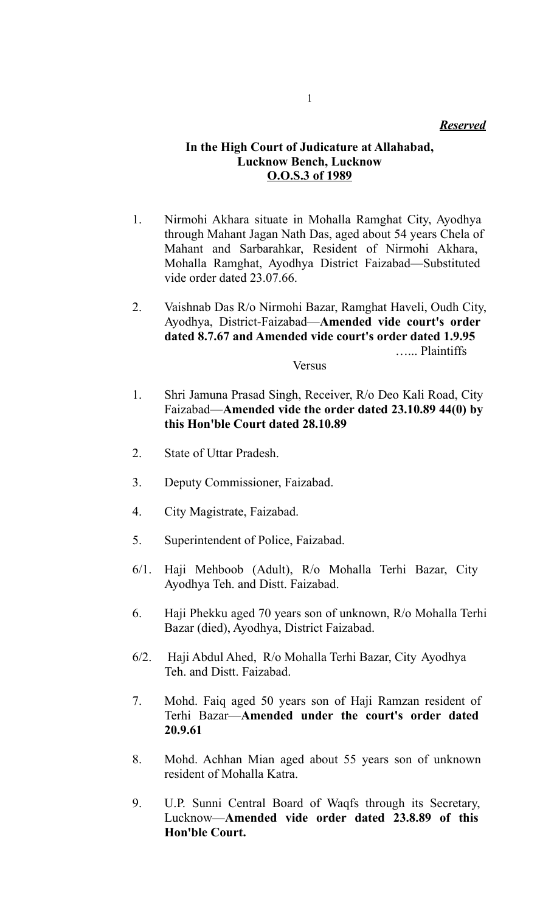#### *Reserved*

## **In the High Court of Judicature at Allahabad, Lucknow Bench, Lucknow O.O.S.3 of 1989**

- 1. Nirmohi Akhara situate in Mohalla Ramghat City, Ayodhya through Mahant Jagan Nath Das, aged about 54 years Chela of Mahant and Sarbarahkar, Resident of Nirmohi Akhara, Mohalla Ramghat, Ayodhya District Faizabad—Substituted vide order dated 23.07.66.
- 2. Vaishnab Das R/o Nirmohi Bazar, Ramghat Haveli, Oudh City, Ayodhya, District-Faizabad—**Amended vide court's order dated 8.7.67 and Amended vide court's order dated 1.9.95** …... Plaintiffs

#### **Versus**

- 1. Shri Jamuna Prasad Singh, Receiver, R/o Deo Kali Road, City Faizabad—**Amended vide the order dated 23.10.89 44(0) by this Hon'ble Court dated 28.10.89**
- 2. State of Uttar Pradesh.
- 3. Deputy Commissioner, Faizabad.
- 4. City Magistrate, Faizabad.
- 5. Superintendent of Police, Faizabad.
- 6/1. Haji Mehboob (Adult), R/o Mohalla Terhi Bazar, City Ayodhya Teh. and Distt. Faizabad.
- 6. Haji Phekku aged 70 years son of unknown, R/o Mohalla Terhi Bazar (died), Ayodhya, District Faizabad.
- 6/2. Haji Abdul Ahed, R/o Mohalla Terhi Bazar, City Ayodhya Teh. and Distt. Faizabad.
- 7. Mohd. Faiq aged 50 years son of Haji Ramzan resident of Terhi Bazar—**Amended under the court's order dated 20.9.61**
- 8. Mohd. Achhan Mian aged about 55 years son of unknown resident of Mohalla Katra.
- 9. U.P. Sunni Central Board of Waqfs through its Secretary, Lucknow—**Amended vide order dated 23.8.89 of this Hon'ble Court.**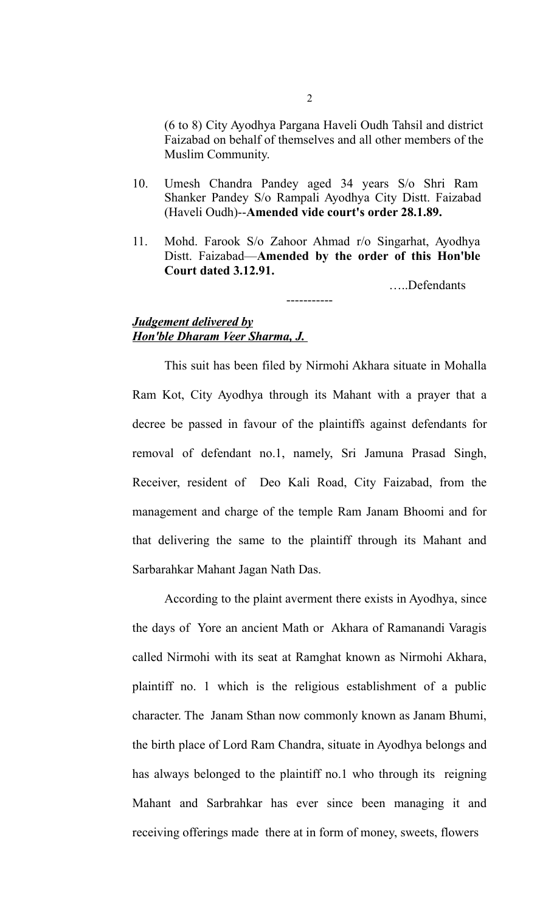(6 to 8) City Ayodhya Pargana Haveli Oudh Tahsil and district Faizabad on behalf of themselves and all other members of the Muslim Community.

- 10. Umesh Chandra Pandey aged 34 years S/o Shri Ram Shanker Pandey S/o Rampali Ayodhya City Distt. Faizabad (Haveli Oudh)--**Amended vide court's order 28.1.89.**
- 11. Mohd. Farook S/o Zahoor Ahmad r/o Singarhat, Ayodhya Distt. Faizabad—**Amended by the order of this Hon'ble Court dated 3.12.91.**

-----------

…..Defendants

#### *Judgement delivered by Hon'ble Dharam Veer Sharma, J.*

This suit has been filed by Nirmohi Akhara situate in Mohalla Ram Kot, City Ayodhya through its Mahant with a prayer that a decree be passed in favour of the plaintiffs against defendants for removal of defendant no.1, namely, Sri Jamuna Prasad Singh, Receiver, resident of Deo Kali Road, City Faizabad, from the management and charge of the temple Ram Janam Bhoomi and for that delivering the same to the plaintiff through its Mahant and Sarbarahkar Mahant Jagan Nath Das.

According to the plaint averment there exists in Ayodhya, since the days of Yore an ancient Math or Akhara of Ramanandi Varagis called Nirmohi with its seat at Ramghat known as Nirmohi Akhara, plaintiff no. 1 which is the religious establishment of a public character. The Janam Sthan now commonly known as Janam Bhumi, the birth place of Lord Ram Chandra, situate in Ayodhya belongs and has always belonged to the plaintiff no.1 who through its reigning Mahant and Sarbrahkar has ever since been managing it and receiving offerings made there at in form of money, sweets, flowers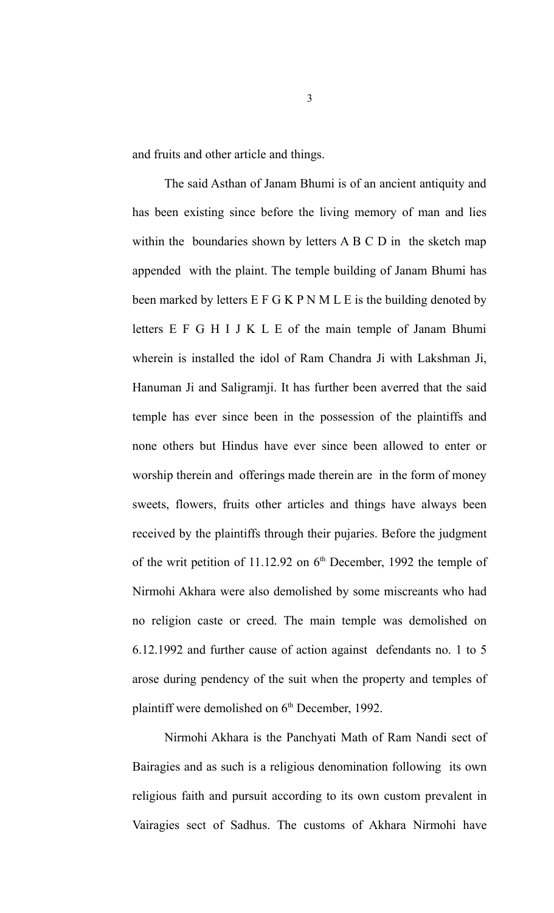and fruits and other article and things.

The said Asthan of Janam Bhumi is of an ancient antiquity and has been existing since before the living memory of man and lies within the boundaries shown by letters A B C D in the sketch map appended with the plaint. The temple building of Janam Bhumi has been marked by letters E F G K P N M L E is the building denoted by letters E F G H I J K L E of the main temple of Janam Bhumi wherein is installed the idol of Ram Chandra Ji with Lakshman Ji, Hanuman Ji and Saligramji. It has further been averred that the said temple has ever since been in the possession of the plaintiffs and none others but Hindus have ever since been allowed to enter or worship therein and offerings made therein are in the form of money sweets, flowers, fruits other articles and things have always been received by the plaintiffs through their pujaries. Before the judgment of the writ petition of 11.12.92 on  $6<sup>th</sup>$  December, 1992 the temple of Nirmohi Akhara were also demolished by some miscreants who had no religion caste or creed. The main temple was demolished on 6.12.1992 and further cause of action against defendants no. 1 to 5 arose during pendency of the suit when the property and temples of plaintiff were demolished on  $6<sup>th</sup>$  December, 1992.

Nirmohi Akhara is the Panchyati Math of Ram Nandi sect of Bairagies and as such is a religious denomination following its own religious faith and pursuit according to its own custom prevalent in Vairagies sect of Sadhus. The customs of Akhara Nirmohi have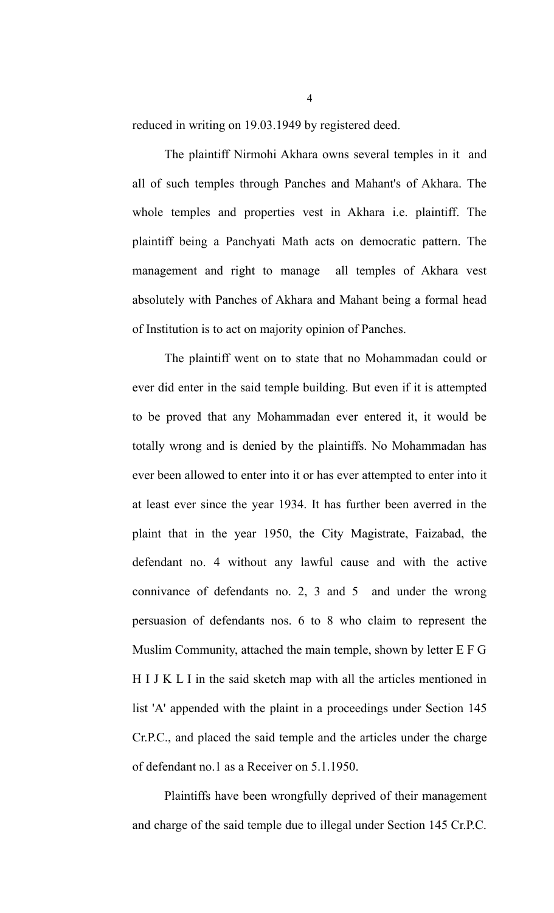reduced in writing on 19.03.1949 by registered deed.

The plaintiff Nirmohi Akhara owns several temples in it and all of such temples through Panches and Mahant's of Akhara. The whole temples and properties vest in Akhara i.e. plaintiff. The plaintiff being a Panchyati Math acts on democratic pattern. The management and right to manage all temples of Akhara vest absolutely with Panches of Akhara and Mahant being a formal head of Institution is to act on majority opinion of Panches.

The plaintiff went on to state that no Mohammadan could or ever did enter in the said temple building. But even if it is attempted to be proved that any Mohammadan ever entered it, it would be totally wrong and is denied by the plaintiffs. No Mohammadan has ever been allowed to enter into it or has ever attempted to enter into it at least ever since the year 1934. It has further been averred in the plaint that in the year 1950, the City Magistrate, Faizabad, the defendant no. 4 without any lawful cause and with the active connivance of defendants no. 2, 3 and  $5$  and under the wrong persuasion of defendants nos. 6 to 8 who claim to represent the Muslim Community, attached the main temple, shown by letter E F G H I J K L I in the said sketch map with all the articles mentioned in list 'A' appended with the plaint in a proceedings under Section 145 Cr.P.C., and placed the said temple and the articles under the charge of defendant no.1 as a Receiver on 5.1.1950.

Plaintiffs have been wrongfully deprived of their management and charge of the said temple due to illegal under Section 145 Cr.P.C.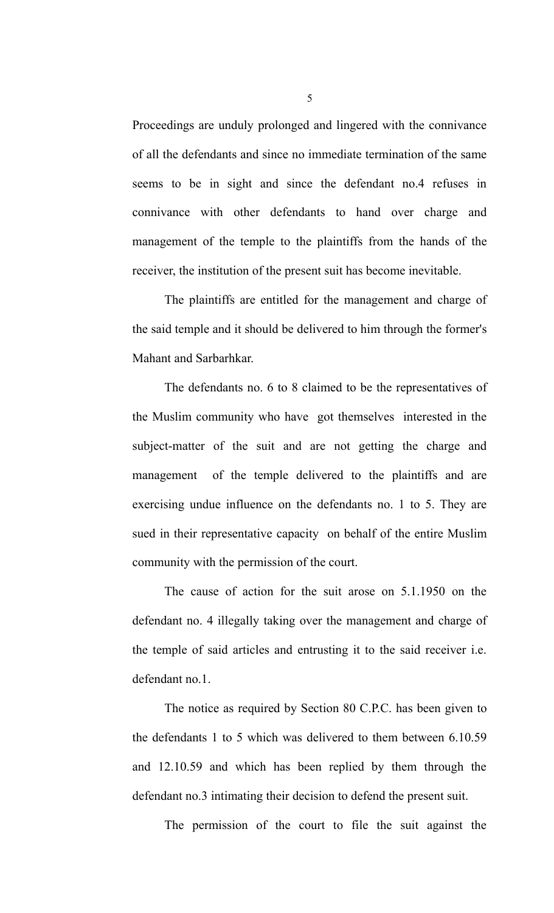Proceedings are unduly prolonged and lingered with the connivance of all the defendants and since no immediate termination of the same seems to be in sight and since the defendant no.4 refuses in connivance with other defendants to hand over charge and management of the temple to the plaintiffs from the hands of the receiver, the institution of the present suit has become inevitable.

The plaintiffs are entitled for the management and charge of the said temple and it should be delivered to him through the former's Mahant and Sarbarhkar.

The defendants no. 6 to 8 claimed to be the representatives of the Muslim community who have got themselves interested in the subject-matter of the suit and are not getting the charge and management of the temple delivered to the plaintiffs and are exercising undue influence on the defendants no. 1 to 5. They are sued in their representative capacity on behalf of the entire Muslim community with the permission of the court.

The cause of action for the suit arose on 5.1.1950 on the defendant no. 4 illegally taking over the management and charge of the temple of said articles and entrusting it to the said receiver i.e. defendant no.1.

The notice as required by Section 80 C.P.C. has been given to the defendants 1 to 5 which was delivered to them between 6.10.59 and 12.10.59 and which has been replied by them through the defendant no.3 intimating their decision to defend the present suit.

The permission of the court to file the suit against the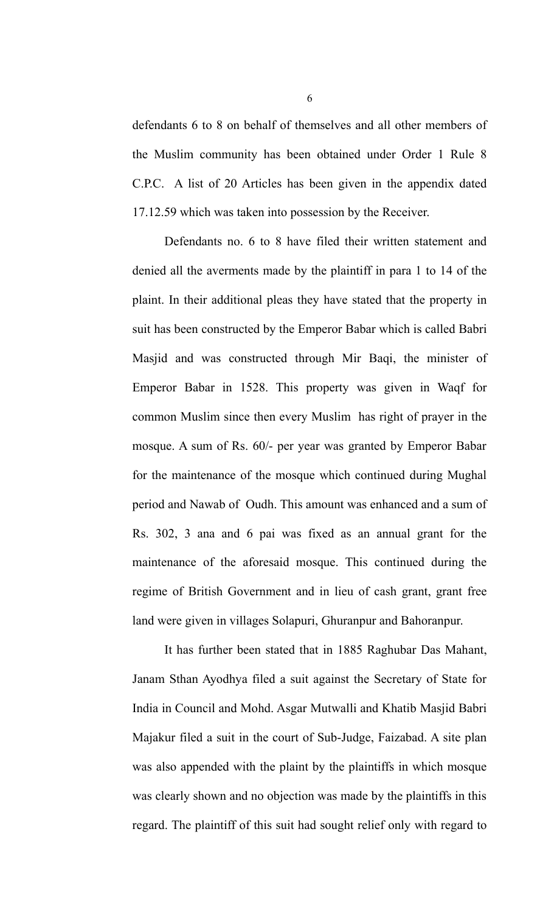defendants 6 to 8 on behalf of themselves and all other members of the Muslim community has been obtained under Order 1 Rule 8 C.P.C. A list of 20 Articles has been given in the appendix dated 17.12.59 which was taken into possession by the Receiver.

Defendants no. 6 to 8 have filed their written statement and denied all the averments made by the plaintiff in para 1 to 14 of the plaint. In their additional pleas they have stated that the property in suit has been constructed by the Emperor Babar which is called Babri Masjid and was constructed through Mir Baqi, the minister of Emperor Babar in 1528. This property was given in Waqf for common Muslim since then every Muslim has right of prayer in the mosque. A sum of Rs. 60/- per year was granted by Emperor Babar for the maintenance of the mosque which continued during Mughal period and Nawab of Oudh. This amount was enhanced and a sum of Rs. 302, 3 ana and 6 pai was fixed as an annual grant for the maintenance of the aforesaid mosque. This continued during the regime of British Government and in lieu of cash grant, grant free land were given in villages Solapuri, Ghuranpur and Bahoranpur.

It has further been stated that in 1885 Raghubar Das Mahant, Janam Sthan Ayodhya filed a suit against the Secretary of State for India in Council and Mohd. Asgar Mutwalli and Khatib Masjid Babri Majakur filed a suit in the court of Sub-Judge, Faizabad. A site plan was also appended with the plaint by the plaintiffs in which mosque was clearly shown and no objection was made by the plaintiffs in this regard. The plaintiff of this suit had sought relief only with regard to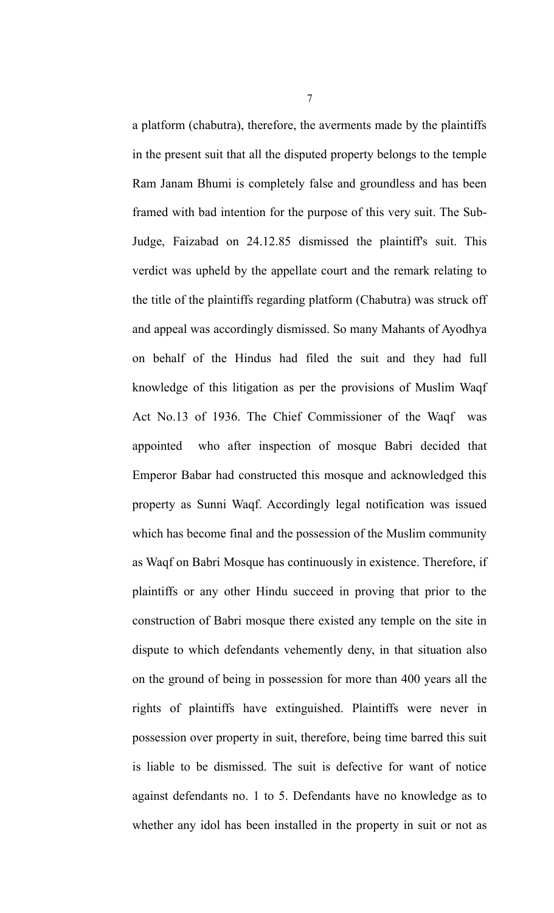a platform (chabutra), therefore, the averments made by the plaintiffs in the present suit that all the disputed property belongs to the temple Ram Janam Bhumi is completely false and groundless and has been framed with bad intention for the purpose of this very suit. The Sub-Judge, Faizabad on 24.12.85 dismissed the plaintiff's suit. This verdict was upheld by the appellate court and the remark relating to the title of the plaintiffs regarding platform (Chabutra) was struck off and appeal was accordingly dismissed. So many Mahants of Ayodhya on behalf of the Hindus had filed the suit and they had full knowledge of this litigation as per the provisions of Muslim Waqf Act No.13 of 1936. The Chief Commissioner of the Waqf was appointed who after inspection of mosque Babri decided that Emperor Babar had constructed this mosque and acknowledged this property as Sunni Waqf. Accordingly legal notification was issued which has become final and the possession of the Muslim community as Waqf on Babri Mosque has continuously in existence. Therefore, if plaintiffs or any other Hindu succeed in proving that prior to the construction of Babri mosque there existed any temple on the site in dispute to which defendants vehemently deny, in that situation also on the ground of being in possession for more than 400 years all the rights of plaintiffs have extinguished. Plaintiffs were never in possession over property in suit, therefore, being time barred this suit is liable to be dismissed. The suit is defective for want of notice against defendants no. 1 to 5. Defendants have no knowledge as to whether any idol has been installed in the property in suit or not as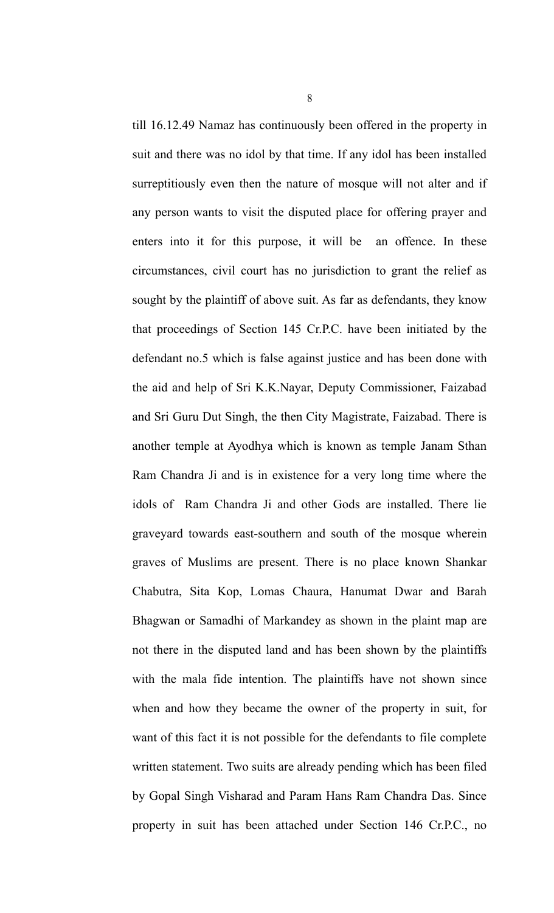till 16.12.49 Namaz has continuously been offered in the property in suit and there was no idol by that time. If any idol has been installed surreptitiously even then the nature of mosque will not alter and if any person wants to visit the disputed place for offering prayer and enters into it for this purpose, it will be an offence. In these circumstances, civil court has no jurisdiction to grant the relief as sought by the plaintiff of above suit. As far as defendants, they know that proceedings of Section 145 Cr.P.C. have been initiated by the defendant no.5 which is false against justice and has been done with the aid and help of Sri K.K.Nayar, Deputy Commissioner, Faizabad and Sri Guru Dut Singh, the then City Magistrate, Faizabad. There is another temple at Ayodhya which is known as temple Janam Sthan Ram Chandra Ji and is in existence for a very long time where the idols of Ram Chandra Ji and other Gods are installed. There lie graveyard towards east-southern and south of the mosque wherein graves of Muslims are present. There is no place known Shankar Chabutra, Sita Kop, Lomas Chaura, Hanumat Dwar and Barah Bhagwan or Samadhi of Markandey as shown in the plaint map are not there in the disputed land and has been shown by the plaintiffs with the mala fide intention. The plaintiffs have not shown since when and how they became the owner of the property in suit, for want of this fact it is not possible for the defendants to file complete written statement. Two suits are already pending which has been filed by Gopal Singh Visharad and Param Hans Ram Chandra Das. Since property in suit has been attached under Section 146 Cr.P.C., no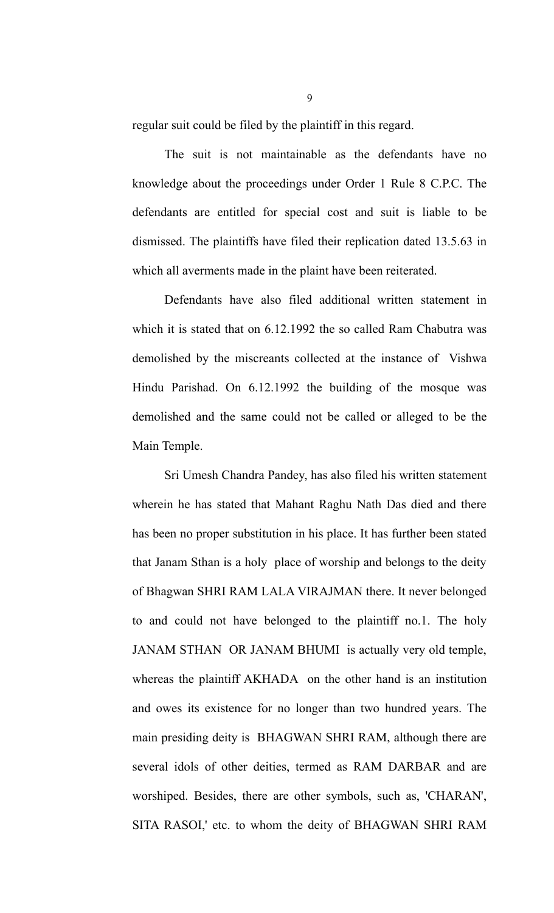regular suit could be filed by the plaintiff in this regard.

The suit is not maintainable as the defendants have no knowledge about the proceedings under Order 1 Rule 8 C.P.C. The defendants are entitled for special cost and suit is liable to be dismissed. The plaintiffs have filed their replication dated 13.5.63 in which all averments made in the plaint have been reiterated.

Defendants have also filed additional written statement in which it is stated that on 6.12.1992 the so called Ram Chabutra was demolished by the miscreants collected at the instance of Vishwa Hindu Parishad. On 6.12.1992 the building of the mosque was demolished and the same could not be called or alleged to be the Main Temple.

Sri Umesh Chandra Pandey, has also filed his written statement wherein he has stated that Mahant Raghu Nath Das died and there has been no proper substitution in his place. It has further been stated that Janam Sthan is a holy place of worship and belongs to the deity of Bhagwan SHRI RAM LALA VIRAJMAN there. It never belonged to and could not have belonged to the plaintiff no.1. The holy JANAM STHAN OR JANAM BHUMI is actually very old temple, whereas the plaintiff AKHADA on the other hand is an institution and owes its existence for no longer than two hundred years. The main presiding deity is BHAGWAN SHRI RAM, although there are several idols of other deities, termed as RAM DARBAR and are worshiped. Besides, there are other symbols, such as, 'CHARAN', SITA RASOI,' etc. to whom the deity of BHAGWAN SHRI RAM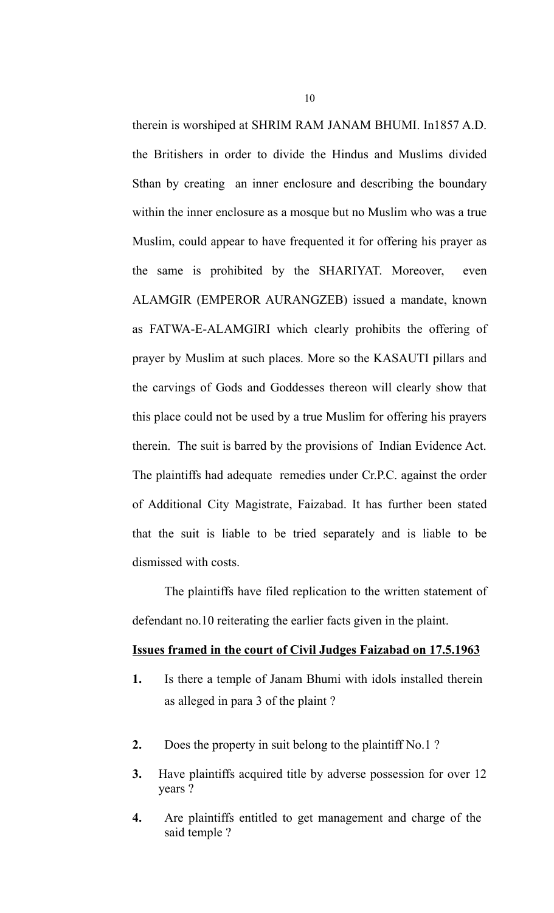therein is worshiped at SHRIM RAM JANAM BHUMI. In1857 A.D. the Britishers in order to divide the Hindus and Muslims divided Sthan by creating an inner enclosure and describing the boundary within the inner enclosure as a mosque but no Muslim who was a true Muslim, could appear to have frequented it for offering his prayer as the same is prohibited by the SHARIYAT. Moreover, even ALAMGIR (EMPEROR AURANGZEB) issued a mandate, known as FATWA-E-ALAMGIRI which clearly prohibits the offering of prayer by Muslim at such places. More so the KASAUTI pillars and the carvings of Gods and Goddesses thereon will clearly show that this place could not be used by a true Muslim for offering his prayers therein. The suit is barred by the provisions of Indian Evidence Act. The plaintiffs had adequate remedies under Cr.P.C. against the order of Additional City Magistrate, Faizabad. It has further been stated that the suit is liable to be tried separately and is liable to be dismissed with costs.

The plaintiffs have filed replication to the written statement of defendant no.10 reiterating the earlier facts given in the plaint.

#### **Issues framed in the court of Civil Judges Faizabad on 17.5.1963**

- **1.** Is there a temple of Janam Bhumi with idols installed therein as alleged in para 3 of the plaint ?
- **2.** Does the property in suit belong to the plaintiff No.1 ?
- **3.** Have plaintiffs acquired title by adverse possession for over 12 years ?
- **4.** Are plaintiffs entitled to get management and charge of the said temple ?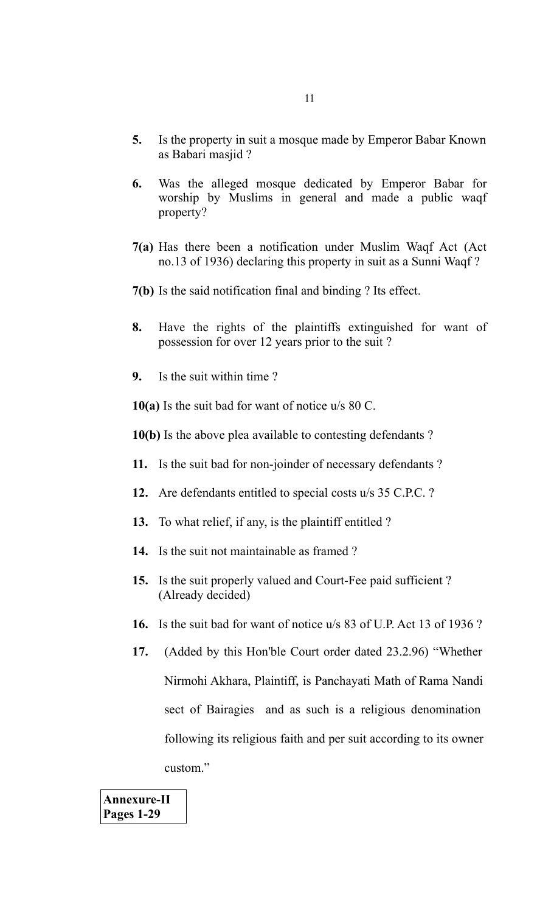- **5.** Is the property in suit a mosque made by Emperor Babar Known as Babari masjid ?
- **6.** Was the alleged mosque dedicated by Emperor Babar for worship by Muslims in general and made a public waqf property?
- **7(a)** Has there been a notification under Muslim Waqf Act (Act no.13 of 1936) declaring this property in suit as a Sunni Waqf ?
- **7(b)** Is the said notification final and binding ? Its effect.
- **8.** Have the rights of the plaintiffs extinguished for want of possession for over 12 years prior to the suit ?
- **9.** Is the suit within time ?

**10(a)** Is the suit bad for want of notice u/s 80 C.

- **10(b)** Is the above plea available to contesting defendants ?
- **11.** Is the suit bad for non-joinder of necessary defendants ?
- **12.** Are defendants entitled to special costs u/s 35 C.P.C. ?
- **13.** To what relief, if any, is the plaintiff entitled ?
- **14.** Is the suit not maintainable as framed ?
- **15.** Is the suit properly valued and Court-Fee paid sufficient ? (Already decided)
- **16.** Is the suit bad for want of notice u/s 83 of U.P. Act 13 of 1936 ?
- **17.** (Added by this Hon'ble Court order dated 23.2.96) "Whether Nirmohi Akhara, Plaintiff, is Panchayati Math of Rama Nandi sect of Bairagies and as such is a religious denomination following its religious faith and per suit according to its owner custom."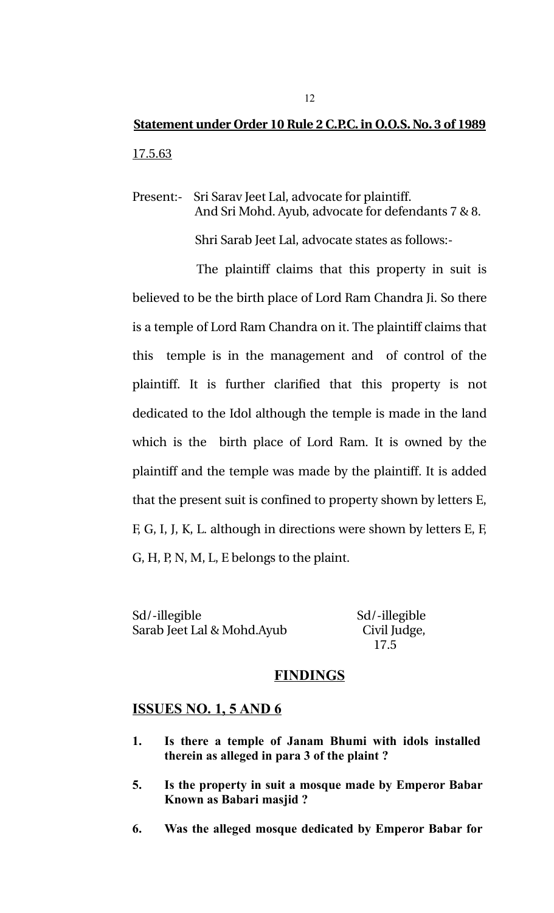# **Statement under Order 10 Rule 2 C.P.C. in O.O.S. No. 3 of 1989** 17.5.63

Present: Sri Sarav Jeet Lal, advocate for plaintiff. And Sri Mohd. Ayub, advocate for defendants 7 & 8.

Shri Sarab Jeet Lal, advocate states as follows:

The plaintiff claims that this property in suit is believed to be the birth place of Lord Ram Chandra Ji. So there is a temple of Lord Ram Chandra on it. The plaintiff claims that this temple is in the management and of control of the plaintiff. It is further clarified that this property is not dedicated to the Idol although the temple is made in the land which is the birth place of Lord Ram. It is owned by the plaintiff and the temple was made by the plaintiff. It is added that the present suit is confined to property shown by letters E, F, G, I, J, K, L. although in directions were shown by letters E, F, G, H, P, N, M, L, E belongs to the plaint.

Sd/-illegible Sd/-illegible Sarab Jeet Lal & Mohd.Ayub Civil Judge,

17.5

## **FINDINGS**

## **ISSUES NO. 1, 5 AND 6**

- **1. Is there a temple of Janam Bhumi with idols installed therein as alleged in para 3 of the plaint ?**
- **5. Is the property in suit a mosque made by Emperor Babar Known as Babari masjid ?**
- **6. Was the alleged mosque dedicated by Emperor Babar for**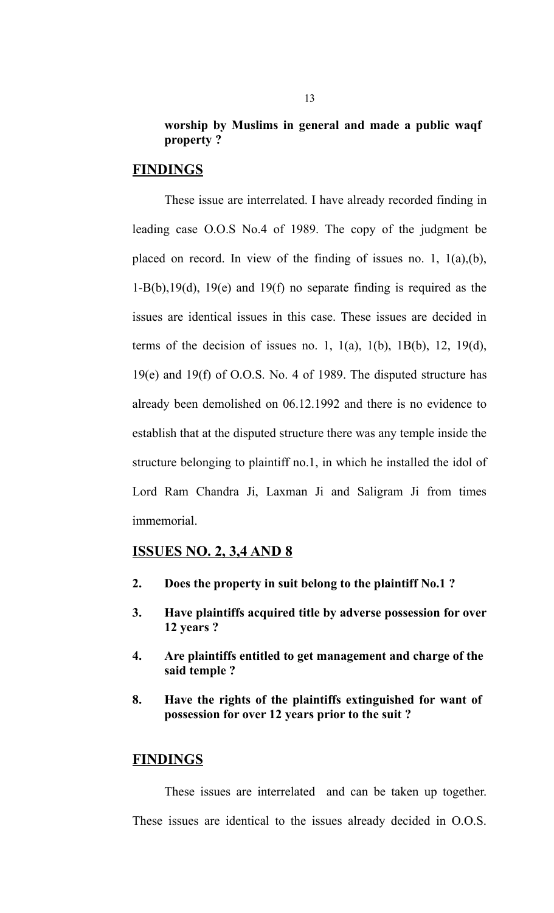## **worship by Muslims in general and made a public waqf property ?**

## **FINDINGS**

These issue are interrelated. I have already recorded finding in leading case O.O.S No.4 of 1989. The copy of the judgment be placed on record. In view of the finding of issues no. 1, 1(a),(b), 1-B(b),19(d), 19(e) and 19(f) no separate finding is required as the issues are identical issues in this case. These issues are decided in terms of the decision of issues no. 1,  $1(a)$ ,  $1(b)$ ,  $1B(b)$ ,  $12$ ,  $19(d)$ , 19(e) and 19(f) of O.O.S. No. 4 of 1989. The disputed structure has already been demolished on 06.12.1992 and there is no evidence to establish that at the disputed structure there was any temple inside the structure belonging to plaintiff no.1, in which he installed the idol of Lord Ram Chandra Ji, Laxman Ji and Saligram Ji from times immemorial.

#### **ISSUES NO. 2, 3,4 AND 8**

- **2. Does the property in suit belong to the plaintiff No.1 ?**
- **3. Have plaintiffs acquired title by adverse possession for over 12 years ?**
- **4. Are plaintiffs entitled to get management and charge of the said temple ?**
- **8. Have the rights of the plaintiffs extinguished for want of possession for over 12 years prior to the suit ?**

## **FINDINGS**

These issues are interrelated and can be taken up together. These issues are identical to the issues already decided in O.O.S.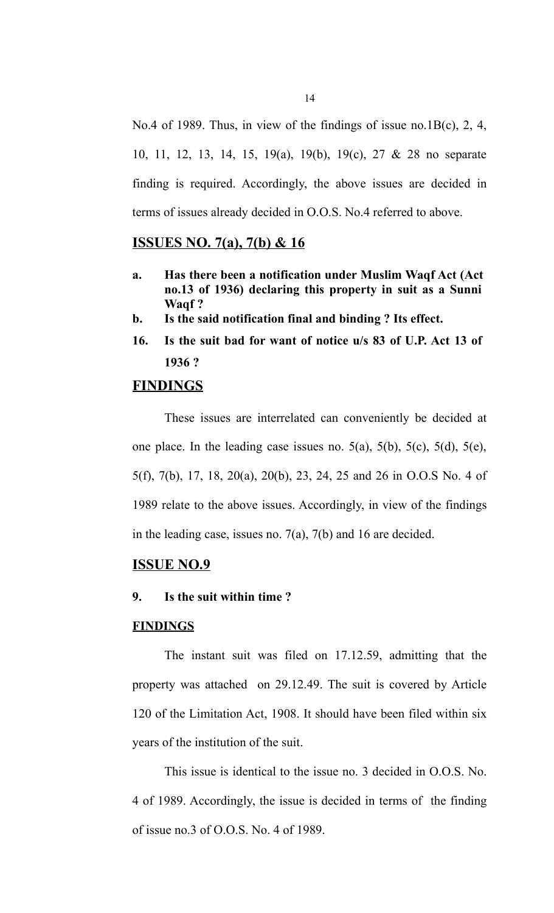No.4 of 1989. Thus, in view of the findings of issue no.1B(c), 2, 4, 10, 11, 12, 13, 14, 15, 19(a), 19(b), 19(c), 27 & 28 no separate finding is required. Accordingly, the above issues are decided in terms of issues already decided in O.O.S. No.4 referred to above.

## **ISSUES NO. 7(a), 7(b) & 16**

- **a. Has there been a notification under Muslim Waqf Act (Act no.13 of 1936) declaring this property in suit as a Sunni Waqf ?**
- **b. Is the said notification final and binding ? Its effect.**
- **16. Is the suit bad for want of notice u/s 83 of U.P. Act 13 of 1936 ?**

## **FINDINGS**

These issues are interrelated can conveniently be decided at one place. In the leading case issues no.  $5(a)$ ,  $5(b)$ ,  $5(c)$ ,  $5(d)$ ,  $5(e)$ , 5(f), 7(b), 17, 18, 20(a), 20(b), 23, 24, 25 and 26 in O.O.S No. 4 of 1989 relate to the above issues. Accordingly, in view of the findings in the leading case, issues no. 7(a), 7(b) and 16 are decided.

## **ISSUE NO.9**

## **9. Is the suit within time ?**

#### **FINDINGS**

The instant suit was filed on 17.12.59, admitting that the property was attached on 29.12.49. The suit is covered by Article 120 of the Limitation Act, 1908. It should have been filed within six years of the institution of the suit.

This issue is identical to the issue no. 3 decided in O.O.S. No. 4 of 1989. Accordingly, the issue is decided in terms of the finding of issue no.3 of O.O.S. No. 4 of 1989.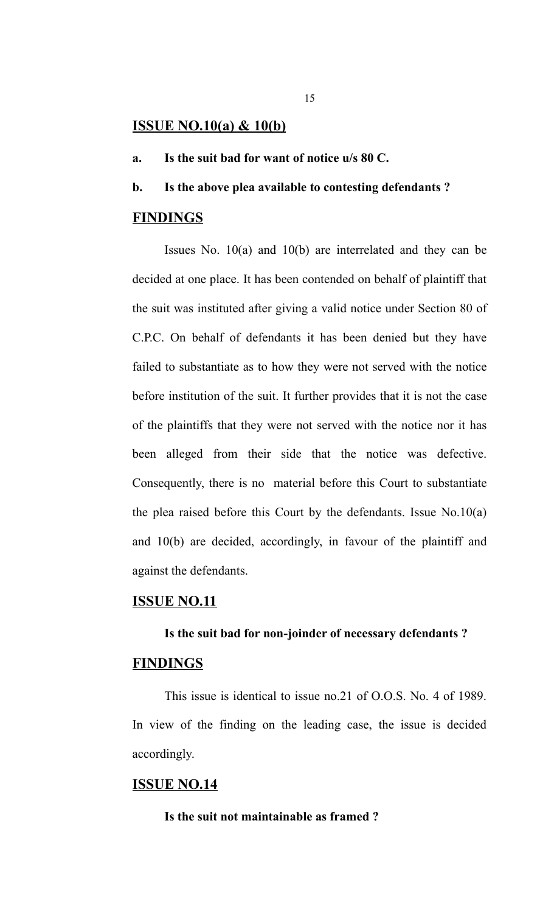#### **ISSUE NO.10(a) & 10(b)**

- **a. Is the suit bad for want of notice u/s 80 C.**
- **b. Is the above plea available to contesting defendants ?**

#### **FINDINGS**

Issues No. 10(a) and 10(b) are interrelated and they can be decided at one place. It has been contended on behalf of plaintiff that the suit was instituted after giving a valid notice under Section 80 of C.P.C. On behalf of defendants it has been denied but they have failed to substantiate as to how they were not served with the notice before institution of the suit. It further provides that it is not the case of the plaintiffs that they were not served with the notice nor it has been alleged from their side that the notice was defective. Consequently, there is no material before this Court to substantiate the plea raised before this Court by the defendants. Issue No.10(a) and 10(b) are decided, accordingly, in favour of the plaintiff and against the defendants.

## **ISSUE NO.11**

#### **Is the suit bad for non-joinder of necessary defendants ?**

## **FINDINGS**

This issue is identical to issue no.21 of O.O.S. No. 4 of 1989. In view of the finding on the leading case, the issue is decided accordingly.

## **ISSUE NO.14**

**Is the suit not maintainable as framed ?**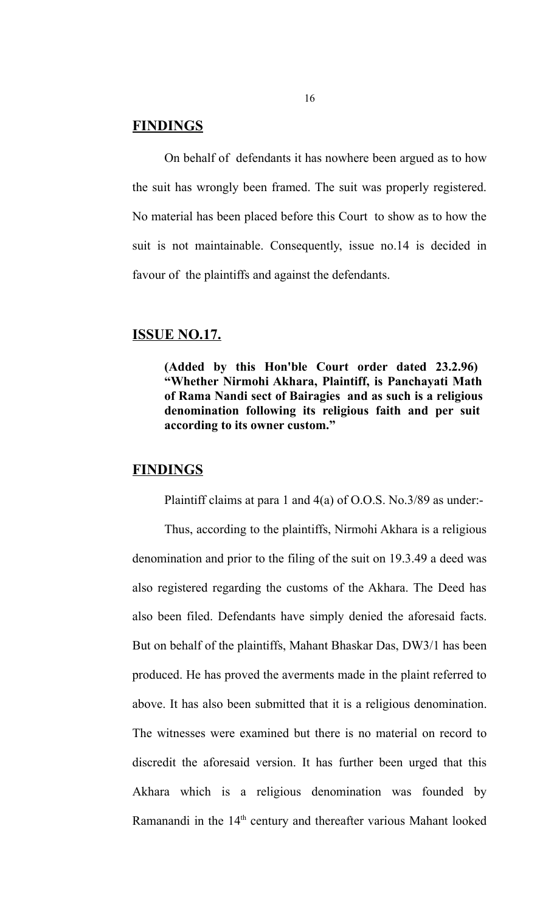## **FINDINGS**

On behalf of defendants it has nowhere been argued as to how the suit has wrongly been framed. The suit was properly registered. No material has been placed before this Court to show as to how the suit is not maintainable. Consequently, issue no.14 is decided in favour of the plaintiffs and against the defendants.

## **ISSUE NO.17.**

**(Added by this Hon'ble Court order dated 23.2.96) "Whether Nirmohi Akhara, Plaintiff, is Panchayati Math of Rama Nandi sect of Bairagies and as such is a religious denomination following its religious faith and per suit according to its owner custom."**

#### **FINDINGS**

Plaintiff claims at para 1 and 4(a) of O.O.S. No.3/89 as under:-

Thus, according to the plaintiffs, Nirmohi Akhara is a religious denomination and prior to the filing of the suit on 19.3.49 a deed was also registered regarding the customs of the Akhara. The Deed has also been filed. Defendants have simply denied the aforesaid facts. But on behalf of the plaintiffs, Mahant Bhaskar Das, DW3/1 has been produced. He has proved the averments made in the plaint referred to above. It has also been submitted that it is a religious denomination. The witnesses were examined but there is no material on record to discredit the aforesaid version. It has further been urged that this Akhara which is a religious denomination was founded by Ramanandi in the 14<sup>th</sup> century and thereafter various Mahant looked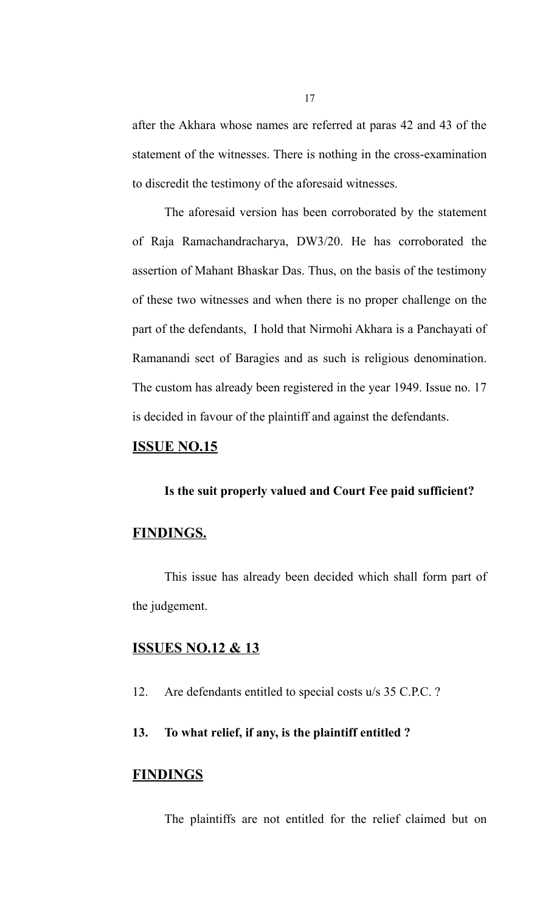after the Akhara whose names are referred at paras 42 and 43 of the statement of the witnesses. There is nothing in the cross-examination to discredit the testimony of the aforesaid witnesses.

The aforesaid version has been corroborated by the statement of Raja Ramachandracharya, DW3/20. He has corroborated the assertion of Mahant Bhaskar Das. Thus, on the basis of the testimony of these two witnesses and when there is no proper challenge on the part of the defendants, I hold that Nirmohi Akhara is a Panchayati of Ramanandi sect of Baragies and as such is religious denomination. The custom has already been registered in the year 1949. Issue no. 17 is decided in favour of the plaintiff and against the defendants.

#### **ISSUE NO.15**

## **Is the suit properly valued and Court Fee paid sufficient?**

## **FINDINGS.**

This issue has already been decided which shall form part of the judgement.

## **ISSUES NO.12 & 13**

12. Are defendants entitled to special costs u/s 35 C.P.C. ?

## **13. To what relief, if any, is the plaintiff entitled ?**

## **FINDINGS**

The plaintiffs are not entitled for the relief claimed but on